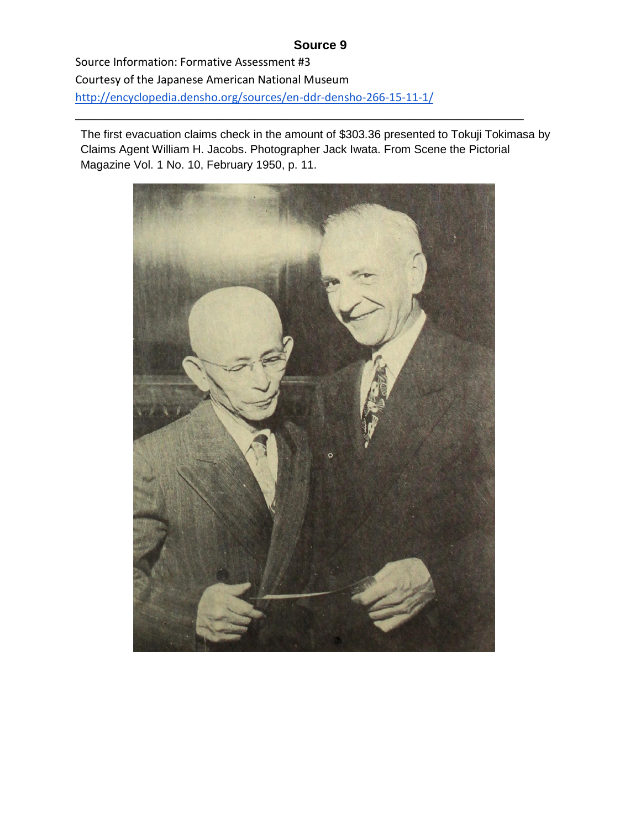## **Source 9**

Source Information: Formative Assessment #3 Courtesy of the Japanese American National Museum <http://encyclopedia.densho.org/sources/en-ddr-densho-266-15-11-1/>

The first evacuation claims check in the amount of \$303.36 presented to Tokuji Tokimasa by Claims Agent William H. Jacobs. Photographer Jack Iwata. From Scene the Pictorial Magazine Vol. 1 No. 10, February 1950, p. 11.

\_\_\_\_\_\_\_\_\_\_\_\_\_\_\_\_\_\_\_\_\_\_\_\_\_\_\_\_\_\_\_\_\_\_\_\_\_\_\_\_\_\_\_\_\_\_\_\_\_\_\_\_\_\_\_\_\_\_\_\_\_\_\_\_\_\_\_\_\_\_

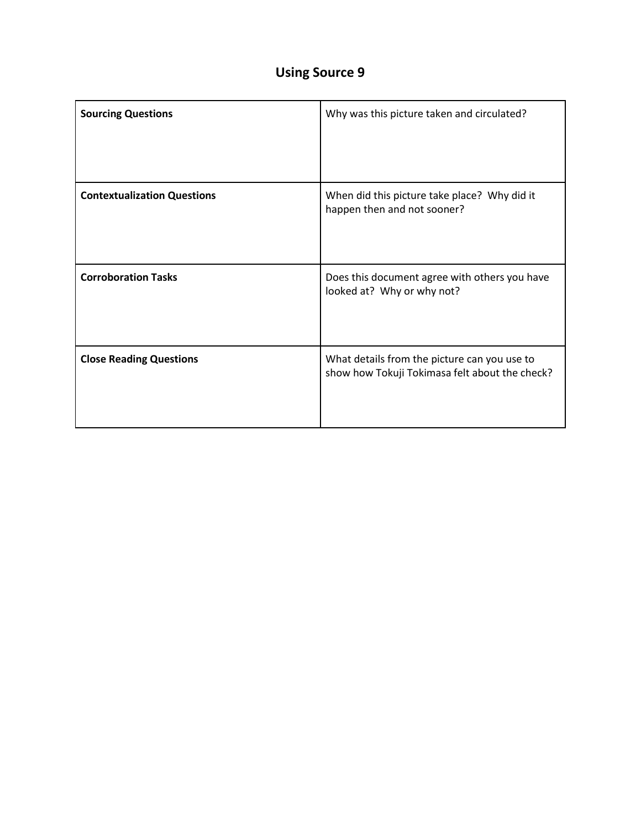## **Using Source 9**

| <b>Sourcing Questions</b>          | Why was this picture taken and circulated?                                                     |
|------------------------------------|------------------------------------------------------------------------------------------------|
| <b>Contextualization Questions</b> | When did this picture take place? Why did it<br>happen then and not sooner?                    |
| <b>Corroboration Tasks</b>         | Does this document agree with others you have<br>looked at? Why or why not?                    |
| <b>Close Reading Questions</b>     | What details from the picture can you use to<br>show how Tokuji Tokimasa felt about the check? |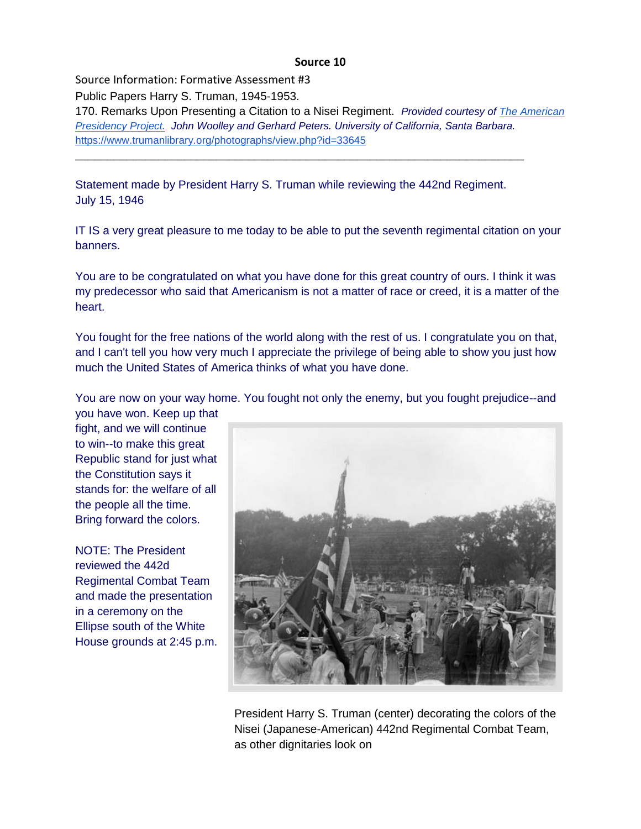## **Source 10**

Source Information: Formative Assessment #3 Public Papers Harry S. Truman, 1945-1953. 170. Remarks Upon Presenting a Citation to a Nisei Regiment. *Provided courtesy o[f](http://www.presidency.ucsb.edu/index.php) [The American](http://www.presidency.ucsb.edu/index.php)  [Presidency Project.](http://www.presidency.ucsb.edu/index.php) John Woolley and Gerhard Peters. University of California, Santa Barbara.* <https://www.trumanlibrary.org/photographs/view.php?id=33645>

Statement made by President Harry S. Truman while reviewing the 442nd Regiment. July 15, 1946

\_\_\_\_\_\_\_\_\_\_\_\_\_\_\_\_\_\_\_\_\_\_\_\_\_\_\_\_\_\_\_\_\_\_\_\_\_\_\_\_\_\_\_\_\_\_\_\_\_\_\_\_\_\_\_\_\_\_\_\_\_\_\_\_\_\_\_\_\_\_

IT IS a very great pleasure to me today to be able to put the seventh regimental citation on your banners.

You are to be congratulated on what you have done for this great country of ours. I think it was my predecessor who said that Americanism is not a matter of race or creed, it is a matter of the heart.

You fought for the free nations of the world along with the rest of us. I congratulate you on that, and I can't tell you how very much I appreciate the privilege of being able to show you just how much the United States of America thinks of what you have done.

You are now on your way home. You fought not only the enemy, but you fought prejudice--and

you have won. Keep up that fight, and we will continue to win--to make this great Republic stand for just what the Constitution says it stands for: the welfare of all the people all the time. Bring forward the colors.

NOTE: The President reviewed the 442d Regimental Combat Team and made the presentation in a ceremony on the Ellipse south of the White House grounds at 2:45 p.m.



 President Harry S. Truman (center) decorating the colors of the Nisei (Japanese-American) 442nd Regimental Combat Team, as other dignitaries look on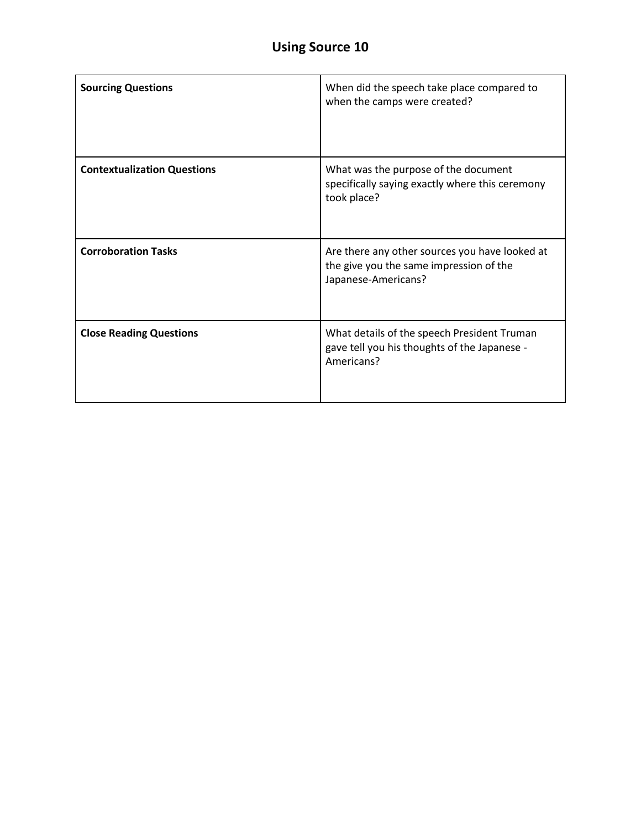| <b>Sourcing Questions</b>          | When did the speech take place compared to<br>when the camps were created?                                       |
|------------------------------------|------------------------------------------------------------------------------------------------------------------|
| <b>Contextualization Questions</b> | What was the purpose of the document<br>specifically saying exactly where this ceremony<br>took place?           |
| <b>Corroboration Tasks</b>         | Are there any other sources you have looked at<br>the give you the same impression of the<br>Japanese-Americans? |
| <b>Close Reading Questions</b>     | What details of the speech President Truman<br>gave tell you his thoughts of the Japanese -<br>Americans?        |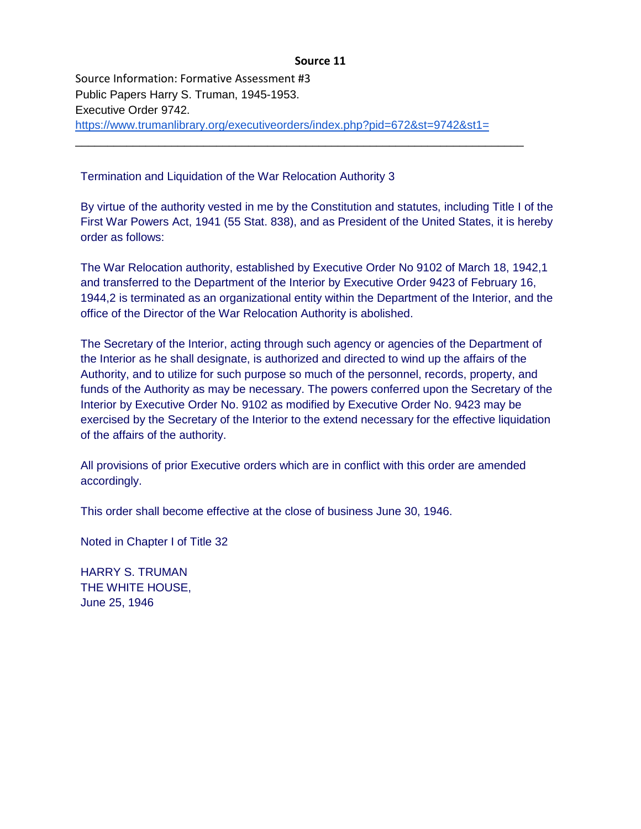## **Source 11**

Source Information: Formative Assessment #3 Public Papers Harry S. Truman, 1945-1953. Executive Order 9742. <https://www.trumanlibrary.org/executiveorders/index.php?pid=672&st=9742&st1=> \_\_\_\_\_\_\_\_\_\_\_\_\_\_\_\_\_\_\_\_\_\_\_\_\_\_\_\_\_\_\_\_\_\_\_\_\_\_\_\_\_\_\_\_\_\_\_\_\_\_\_\_\_\_\_\_\_\_\_\_\_\_\_\_\_\_\_\_\_\_

Termination and Liquidation of the War Relocation Authority 3

By virtue of the authority vested in me by the Constitution and statutes, including Title I of the First War Powers Act, 1941 (55 Stat. 838), and as President of the United States, it is hereby order as follows:

The War Relocation authority, established by Executive Order No 9102 of March 18, 1942,1 and transferred to the Department of the Interior by Executive Order 9423 of February 16, 1944,2 is terminated as an organizational entity within the Department of the Interior, and the office of the Director of the War Relocation Authority is abolished.

The Secretary of the Interior, acting through such agency or agencies of the Department of the Interior as he shall designate, is authorized and directed to wind up the affairs of the Authority, and to utilize for such purpose so much of the personnel, records, property, and funds of the Authority as may be necessary. The powers conferred upon the Secretary of the Interior by Executive Order No. 9102 as modified by Executive Order No. 9423 may be exercised by the Secretary of the Interior to the extend necessary for the effective liquidation of the affairs of the authority.

All provisions of prior Executive orders which are in conflict with this order are amended accordingly.

This order shall become effective at the close of business June 30, 1946.

Noted in Chapter I of Title 32

HARRY S. TRUMAN THE WHITE HOUSE, June 25, 1946